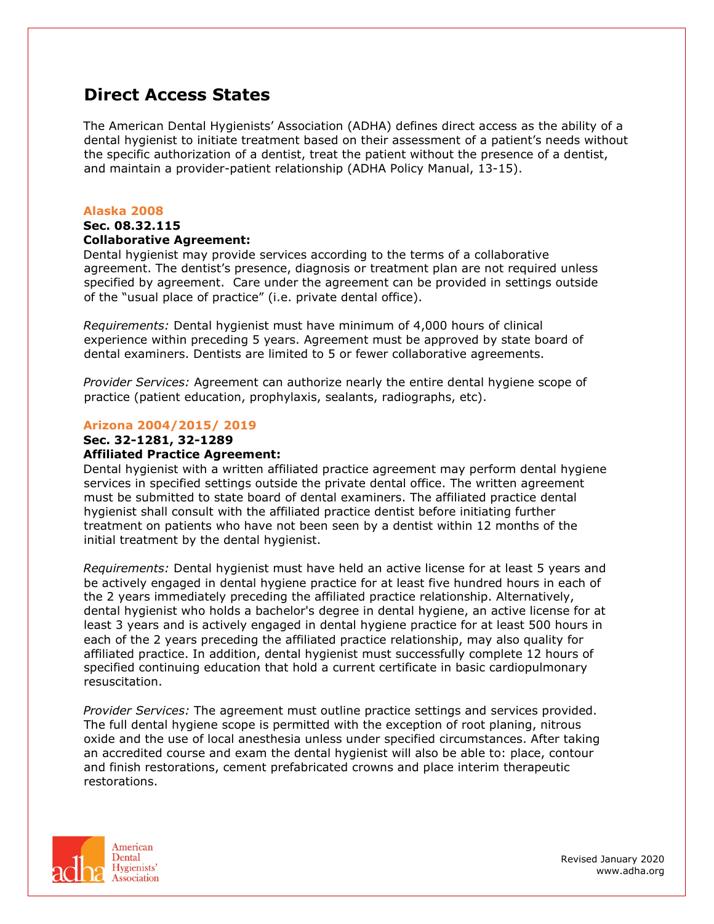# **Direct Access States**

The American Dental Hygienists' Association (ADHA) defines direct access as the ability of a dental hygienist to initiate treatment based on their assessment of a patient's needs without the specific authorization of a dentist, treat the patient without the presence of a dentist, and maintain a provider-patient relationship (ADHA Policy Manual, 13-15).

### **Alaska 2008**

#### **Sec. 08.32.115 Collaborative Agreement:**

Dental hygienist may provide services according to the terms of a collaborative agreement. The dentist's presence, diagnosis or treatment plan are not required unless specified by agreement. Care under the agreement can be provided in settings outside of the "usual place of practice" (i.e. private dental office).

*Requirements:* Dental hygienist must have minimum of 4,000 hours of clinical experience within preceding 5 years. Agreement must be approved by state board of dental examiners. Dentists are limited to 5 or fewer collaborative agreements.

*Provider Services:* Agreement can authorize nearly the entire dental hygiene scope of practice (patient education, prophylaxis, sealants, radiographs, etc).

## **Arizona 2004/2015/ 2019**

### **Sec. 32-1281, 32-1289**

## **Affiliated Practice Agreement:**

Dental hygienist with a written affiliated practice agreement may perform dental hygiene services in specified settings outside the private dental office. The written agreement must be submitted to state board of dental examiners. The affiliated practice dental hygienist shall consult with the affiliated practice dentist before initiating further treatment on patients who have not been seen by a dentist within 12 months of the initial treatment by the dental hygienist.

*Requirements:* Dental hygienist must have held an active license for at least 5 years and be actively engaged in dental hygiene practice for at least five hundred hours in each of the 2 years immediately preceding the affiliated practice relationship. Alternatively, dental hygienist who holds a bachelor's degree in dental hygiene, an active license for at least 3 years and is actively engaged in dental hygiene practice for at least 500 hours in each of the 2 years preceding the affiliated practice relationship, may also quality for affiliated practice. In addition, dental hygienist must successfully complete 12 hours of specified continuing education that hold a current certificate in basic cardiopulmonary resuscitation.

*Provider Services:* The agreement must outline practice settings and services provided. The full dental hygiene scope is permitted with the exception of root planing, nitrous oxide and the use of local anesthesia unless under specified circumstances. After taking an accredited course and exam the dental hygienist will also be able to: place, contour and finish restorations, cement prefabricated crowns and place interim therapeutic restorations.

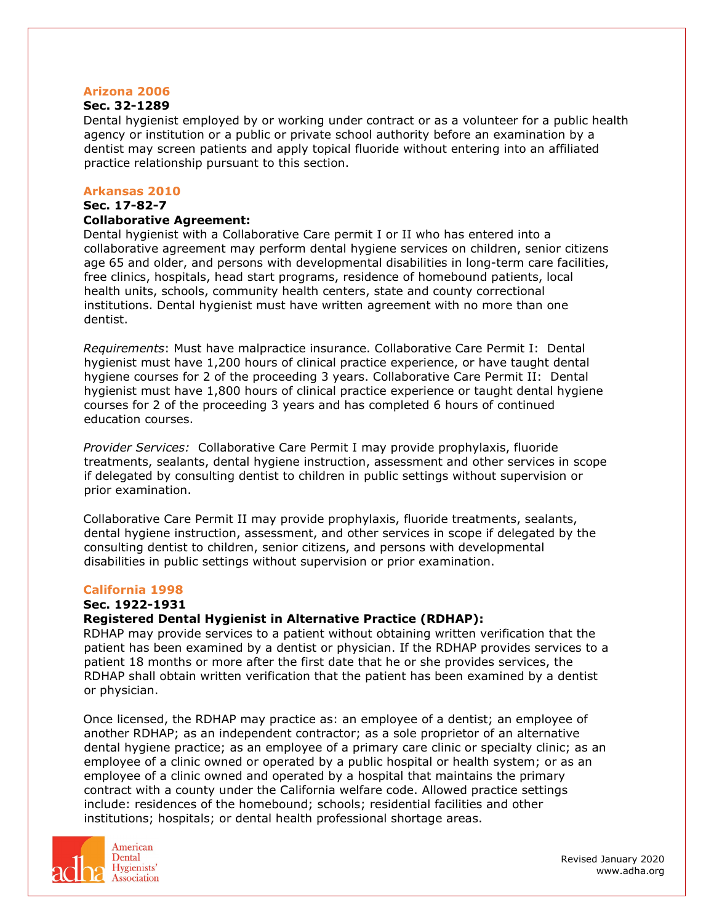## **Arizona 2006**

## **Sec. 32-1289**

Dental hygienist employed by or working under contract or as a volunteer for a public health agency or institution or a public or private school authority before an examination by a dentist may screen patients and apply topical fluoride without entering into an affiliated practice relationship pursuant to this section.

#### **Arkansas 2010**

#### **Sec. 17-82-7**

#### **Collaborative Agreement:**

Dental hygienist with a Collaborative Care permit I or II who has entered into a collaborative agreement may perform dental hygiene services on children, senior citizens age 65 and older, and persons with developmental disabilities in long-term care facilities, free clinics, hospitals, head start programs, residence of homebound patients, local health units, schools, community health centers, state and county correctional institutions. Dental hygienist must have written agreement with no more than one dentist.

*Requirements*: Must have malpractice insurance. Collaborative Care Permit I: Dental hygienist must have 1,200 hours of clinical practice experience, or have taught dental hygiene courses for 2 of the proceeding 3 years. Collaborative Care Permit II: Dental hygienist must have 1,800 hours of clinical practice experience or taught dental hygiene courses for 2 of the proceeding 3 years and has completed 6 hours of continued education courses.

*Provider Services:* Collaborative Care Permit I may provide prophylaxis, fluoride treatments, sealants, dental hygiene instruction, assessment and other services in scope if delegated by consulting dentist to children in public settings without supervision or prior examination.

Collaborative Care Permit II may provide prophylaxis, fluoride treatments, sealants, dental hygiene instruction, assessment, and other services in scope if delegated by the consulting dentist to children, senior citizens, and persons with developmental disabilities in public settings without supervision or prior examination.

## **California 1998**

## **Sec. 1922-1931**

## **Registered Dental Hygienist in Alternative Practice (RDHAP):**

RDHAP may provide services to a patient without obtaining written verification that the patient has been examined by a dentist or physician. If the RDHAP provides services to a patient 18 months or more after the first date that he or she provides services, the RDHAP shall obtain written verification that the patient has been examined by a dentist or physician.

Once licensed, the RDHAP may practice as: an employee of a dentist; an employee of another RDHAP; as an independent contractor; as a sole proprietor of an alternative dental hygiene practice; as an employee of a primary care clinic or specialty clinic; as an employee of a clinic owned or operated by a public hospital or health system; or as an employee of a clinic owned and operated by a hospital that maintains the primary contract with a county under the California welfare code. Allowed practice settings include: residences of the homebound; schools; residential facilities and other institutions; hospitals; or dental health professional shortage areas.

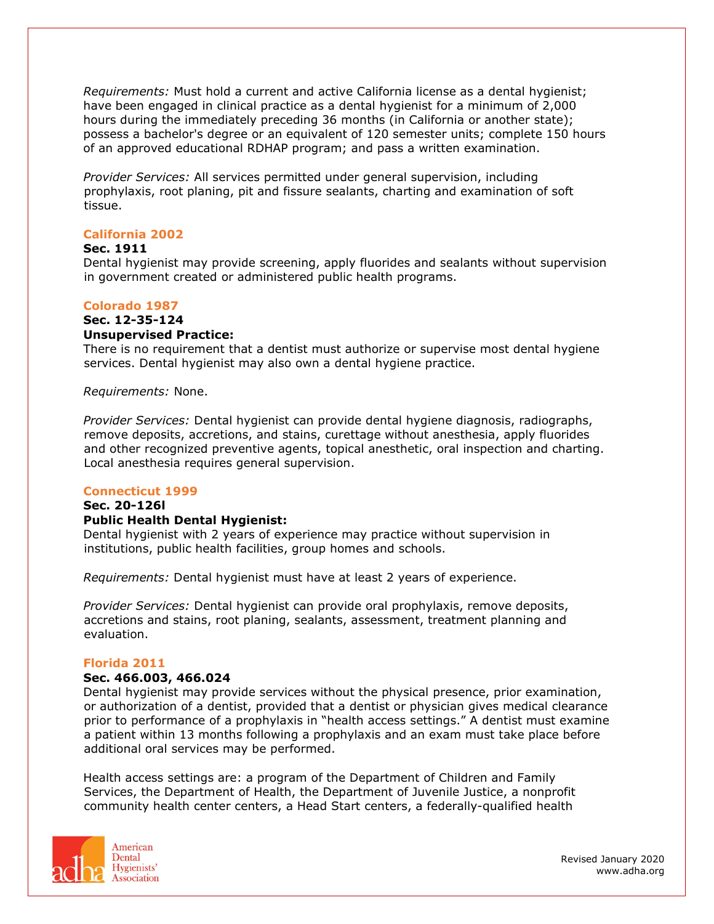*Requirements:* Must hold a current and active California license as a dental hygienist; have been engaged in clinical practice as a dental hygienist for a minimum of 2,000 hours during the immediately preceding 36 months (in California or another state); possess a bachelor's degree or an equivalent of 120 semester units; complete 150 hours of an approved educational RDHAP program; and pass a written examination.

*Provider Services:* All services permitted under general supervision, including prophylaxis, root planing, pit and fissure sealants, charting and examination of soft tissue.

## **California 2002**

### **Sec. 1911**

Dental hygienist may provide screening, apply fluorides and sealants without supervision in government created or administered public health programs.

### **Colorado 1987**

## **Sec. 12-35-124**

## **Unsupervised Practice:**

There is no requirement that a dentist must authorize or supervise most dental hygiene services. Dental hygienist may also own a dental hygiene practice.

*Requirements:* None.

*Provider Services:* Dental hygienist can provide dental hygiene diagnosis, radiographs, remove deposits, accretions, and stains, curettage without anesthesia, apply fluorides and other recognized preventive agents, topical anesthetic, oral inspection and charting. Local anesthesia requires general supervision.

#### **Connecticut 1999**

### **Sec. 20-126l Public Health Dental Hygienist:**

Dental hygienist with 2 years of experience may practice without supervision in institutions, public health facilities, group homes and schools.

*Requirements:* Dental hygienist must have at least 2 years of experience.

*Provider Services:* Dental hygienist can provide oral prophylaxis, remove deposits, accretions and stains, root planing, sealants, assessment, treatment planning and evaluation.

#### **Florida 2011**

#### **Sec. 466.003, 466.024**

Dental hygienist may provide services without the physical presence, prior examination, or authorization of a dentist, provided that a dentist or physician gives medical clearance prior to performance of a prophylaxis in "health access settings." A dentist must examine a patient within 13 months following a prophylaxis and an exam must take place before additional oral services may be performed.

Health access settings are: a program of the Department of Children and Family Services, the Department of Health, the Department of Juvenile Justice, a nonprofit community health center centers, a Head Start centers, a federally-qualified health

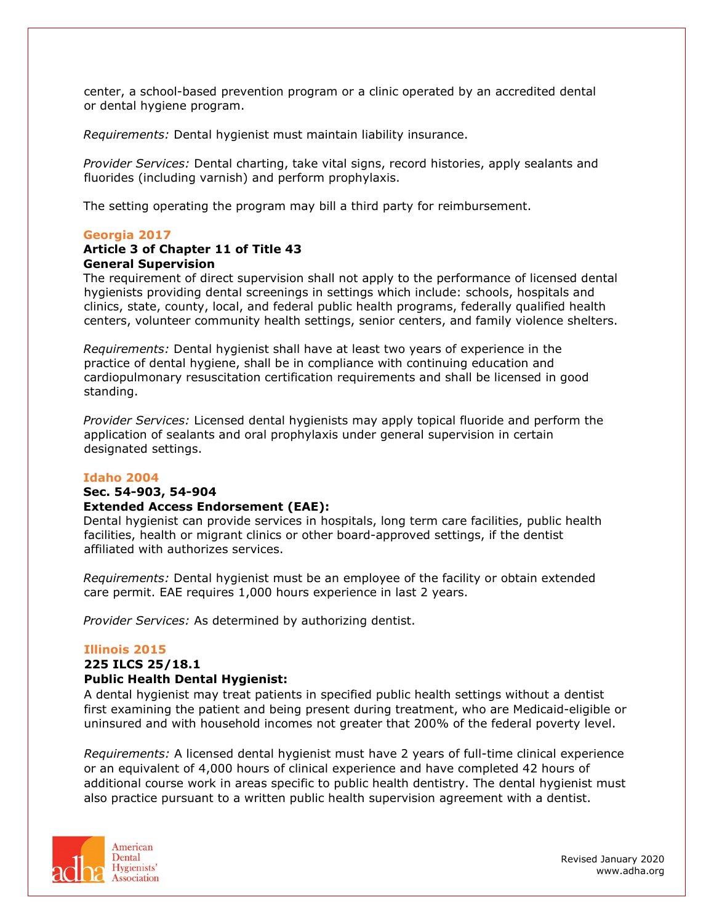center, a school-based prevention program or a clinic operated by an accredited dental or dental hygiene program.

*Requirements:* Dental hygienist must maintain liability insurance.

*Provider Services:* Dental charting, take vital signs, record histories, apply sealants and fluorides (including varnish) and perform prophylaxis.

The setting operating the program may bill a third party for reimbursement.

## **Georgia 2017**

## **Article 3 of Chapter 11 of Title 43 General Supervision**

The requirement of direct supervision shall not apply to the performance of licensed dental hygienists providing dental screenings in settings which include: schools, hospitals and clinics, state, county, local, and federal public health programs, federally qualified health centers, volunteer community health settings, senior centers, and family violence shelters.

*Requirements:* Dental hygienist shall have at least two years of experience in the practice of dental hygiene, shall be in compliance with continuing education and cardiopulmonary resuscitation certification requirements and shall be licensed in good standing.

*Provider Services:* Licensed dental hygienists may apply topical fluoride and perform the application of sealants and oral prophylaxis under general supervision in certain designated settings.

#### **Idaho 2004**

#### **Sec. 54-903, 54-904**

## **Extended Access Endorsement (EAE):**

Dental hygienist can provide services in hospitals, long term care facilities, public health facilities, health or migrant clinics or other board-approved settings, if the dentist affiliated with authorizes services.

*Requirements:* Dental hygienist must be an employee of the facility or obtain extended care permit. EAE requires 1,000 hours experience in last 2 years.

*Provider Services:* As determined by authorizing dentist.

#### **Illinois 2015**

## **225 ILCS 25/18.1**

#### **Public Health Dental Hygienist:**

A dental hygienist may treat patients in specified public health settings without a dentist first examining the patient and being present during treatment, who are Medicaid-eligible or uninsured and with household incomes not greater that 200% of the federal poverty level.

*Requirements:* A licensed dental hygienist must have 2 years of full-time clinical experience or an equivalent of 4,000 hours of clinical experience and have completed 42 hours of additional course work in areas specific to public health dentistry. The dental hygienist must also practice pursuant to a written public health supervision agreement with a dentist.

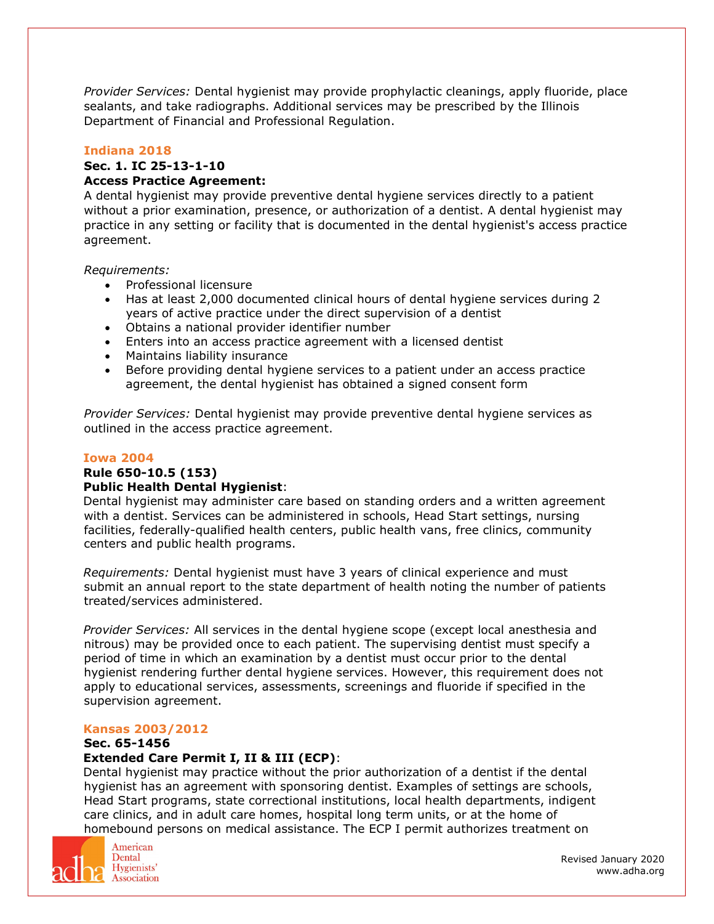*Provider Services:* Dental hygienist may provide prophylactic cleanings, apply fluoride, place sealants, and take radiographs. Additional services may be prescribed by the Illinois Department of Financial and Professional Regulation.

## **Indiana 2018**

# **Sec. 1. IC 25-13-1-10**

# **Access Practice Agreement:**

A dental hygienist may provide preventive dental hygiene services directly to a patient without a prior examination, presence, or authorization of a dentist. A dental hygienist may practice in any setting or facility that is documented in the dental hygienist's access practice agreement.

*Requirements:* 

- Professional licensure
- Has at least 2,000 documented clinical hours of dental hygiene services during 2 years of active practice under the direct supervision of a dentist
- Obtains a national provider identifier number
- Enters into an access practice agreement with a licensed dentist
- Maintains liability insurance
- Before providing dental hygiene services to a patient under an access practice agreement, the dental hygienist has obtained a signed consent form

*Provider Services:* Dental hygienist may provide preventive dental hygiene services as outlined in the access practice agreement.

## **Iowa 2004**

# **Rule 650-10.5 (153)**

## **Public Health Dental Hygienist**:

Dental hygienist may administer care based on standing orders and a written agreement with a dentist. Services can be administered in schools, Head Start settings, nursing facilities, federally-qualified health centers, public health vans, free clinics, community centers and public health programs.

*Requirements:* Dental hygienist must have 3 years of clinical experience and must submit an annual report to the state department of health noting the number of patients treated/services administered.

*Provider Services:* All services in the dental hygiene scope (except local anesthesia and nitrous) may be provided once to each patient. The supervising dentist must specify a period of time in which an examination by a dentist must occur prior to the dental hygienist rendering further dental hygiene services. However, this requirement does not apply to educational services, assessments, screenings and fluoride if specified in the supervision agreement.

## **Kansas 2003/2012**

## **Sec. 65-1456**

## **Extended Care Permit I, II & III (ECP)**:

Dental hygienist may practice without the prior authorization of a dentist if the dental hygienist has an agreement with sponsoring dentist. Examples of settings are schools, Head Start programs, state correctional institutions, local health departments, indigent care clinics, and in adult care homes, hospital long term units, or at the home of homebound persons on medical assistance. The ECP I permit authorizes treatment on



American Dental Hygienists' **Association**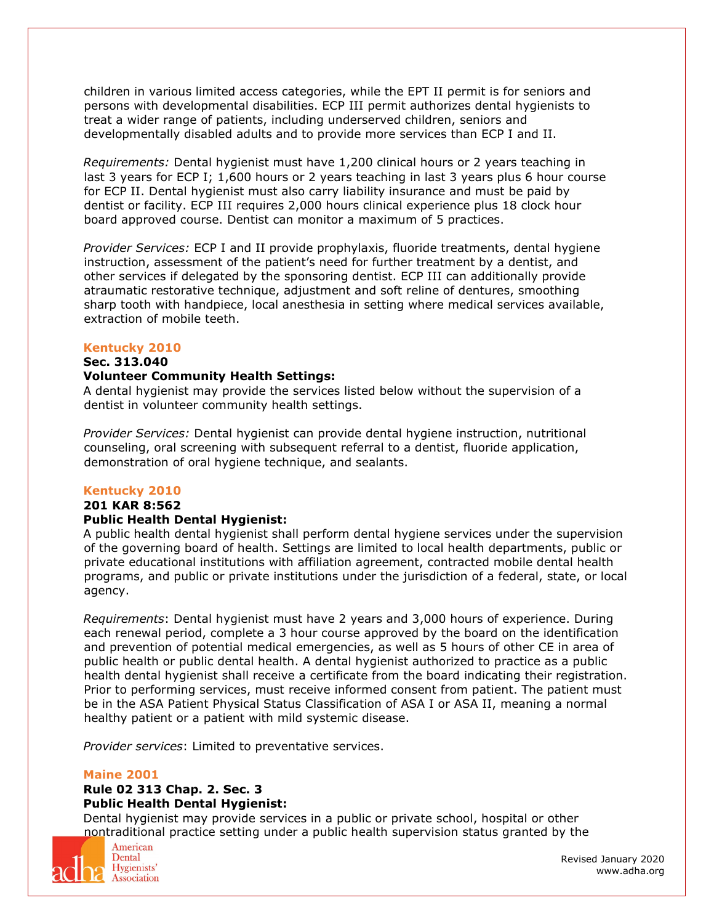children in various limited access categories, while the EPT II permit is for seniors and persons with developmental disabilities. ECP III permit authorizes dental hygienists to treat a wider range of patients, including underserved children, seniors and developmentally disabled adults and to provide more services than ECP I and II.

*Requirements:* Dental hygienist must have 1,200 clinical hours or 2 years teaching in last 3 years for ECP I; 1,600 hours or 2 years teaching in last 3 years plus 6 hour course for ECP II. Dental hygienist must also carry liability insurance and must be paid by dentist or facility. ECP III requires 2,000 hours clinical experience plus 18 clock hour board approved course. Dentist can monitor a maximum of 5 practices.

*Provider Services:* ECP I and II provide prophylaxis, fluoride treatments, dental hygiene instruction, assessment of the patient's need for further treatment by a dentist, and other services if delegated by the sponsoring dentist. ECP III can additionally provide atraumatic restorative technique, adjustment and soft reline of dentures, smoothing sharp tooth with handpiece, local anesthesia in setting where medical services available, extraction of mobile teeth.

#### **Kentucky 2010**

## **Sec. 313.040**

## **Volunteer Community Health Settings:**

A dental hygienist may provide the services listed below without the supervision of a dentist in volunteer community health settings.

*Provider Services:* Dental hygienist can provide dental hygiene instruction, nutritional counseling, oral screening with subsequent referral to a dentist, fluoride application, demonstration of oral hygiene technique, and sealants.

## **Kentucky 2010**

## **201 KAR 8:562**

## **Public Health Dental Hygienist:**

A public health dental hygienist shall perform dental hygiene services under the supervision of the governing board of health. Settings are limited to local health departments, public or private educational institutions with affiliation agreement, contracted mobile dental health programs, and public or private institutions under the jurisdiction of a federal, state, or local agency.

*Requirements*: Dental hygienist must have 2 years and 3,000 hours of experience. During each renewal period, complete a 3 hour course approved by the board on the identification and prevention of potential medical emergencies, as well as 5 hours of other CE in area of public health or public dental health. A dental hygienist authorized to practice as a public health dental hygienist shall receive a certificate from the board indicating their registration. Prior to performing services, must receive informed consent from patient. The patient must be in the ASA Patient Physical Status Classification of ASA I or ASA II, meaning a normal healthy patient or a patient with mild systemic disease.

*Provider services*: Limited to preventative services.

## **Maine 2001**

## **Rule 02 313 Chap. 2. Sec. 3 Public Health Dental Hygienist:**

Dental hygienist may provide services in a public or private school, hospital or other nontraditional practice setting under a public health supervision status granted by the



American Dental Hygienists' **Association**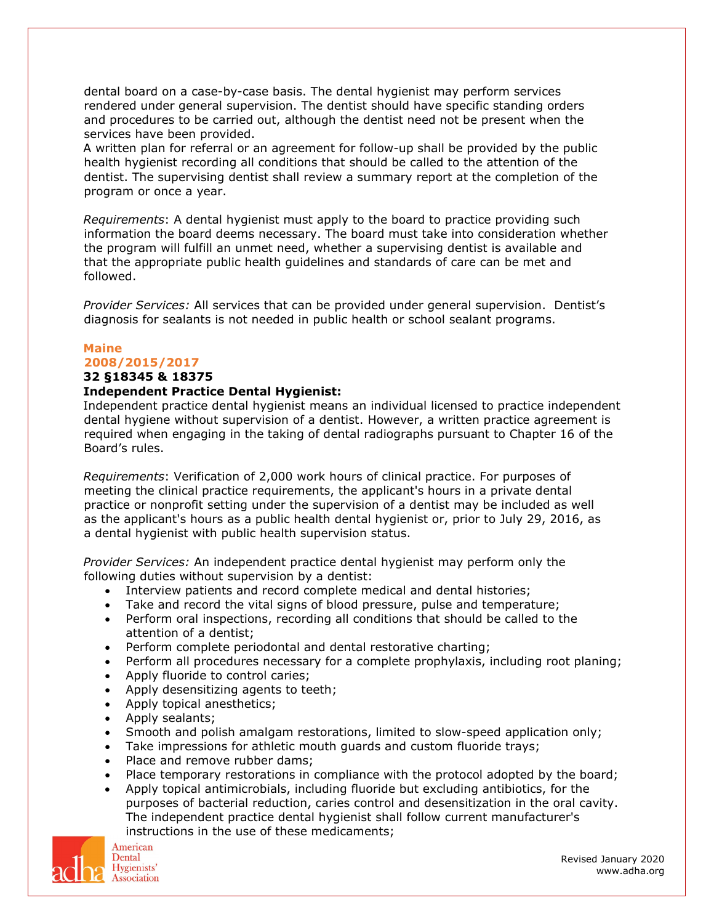dental board on a case-by-case basis. The dental hygienist may perform services rendered under general supervision. The dentist should have specific standing orders and procedures to be carried out, although the dentist need not be present when the services have been provided.

A written plan for referral or an agreement for follow-up shall be provided by the public health hygienist recording all conditions that should be called to the attention of the dentist. The supervising dentist shall review a summary report at the completion of the program or once a year.

*Requirements*: A dental hygienist must apply to the board to practice providing such information the board deems necessary. The board must take into consideration whether the program will fulfill an unmet need, whether a supervising dentist is available and that the appropriate public health guidelines and standards of care can be met and followed.

*Provider Services:* All services that can be provided under general supervision. Dentist's diagnosis for sealants is not needed in public health or school sealant programs.

# **Maine 2008/2015/2017**

## **32 §18345 & 18375**

## **Independent Practice Dental Hygienist:**

Independent practice dental hygienist means an individual licensed to practice independent dental hygiene without supervision of a dentist. However, a written practice agreement is required when engaging in the taking of dental radiographs pursuant to Chapter 16 of the Board's rules.

*Requirements*: Verification of 2,000 work hours of clinical practice. For purposes of meeting the clinical practice requirements, the applicant's hours in a private dental practice or nonprofit setting under the supervision of a dentist may be included as well as the applicant's hours as a public health dental hygienist or, prior to July 29, 2016, as a dental hygienist with public health supervision status.

*Provider Services:* An independent practice dental hygienist may perform only the following duties without supervision by a dentist:

- Interview patients and record complete medical and dental histories;
- Take and record the vital signs of blood pressure, pulse and temperature;
- Perform oral inspections, recording all conditions that should be called to the attention of a dentist;
- Perform complete periodontal and dental restorative charting;
- Perform all procedures necessary for a complete prophylaxis, including root planing;
- Apply fluoride to control caries;
- Apply desensitizing agents to teeth;
- Apply topical anesthetics;
- Apply sealants;
- Smooth and polish amalgam restorations, limited to slow-speed application only;
- Take impressions for athletic mouth guards and custom fluoride trays;
- Place and remove rubber dams:
- Place temporary restorations in compliance with the protocol adopted by the board;
- Apply topical antimicrobials, including fluoride but excluding antibiotics, for the purposes of bacterial reduction, caries control and desensitization in the oral cavity. The independent practice dental hygienist shall follow current manufacturer's instructions in the use of these medicaments;

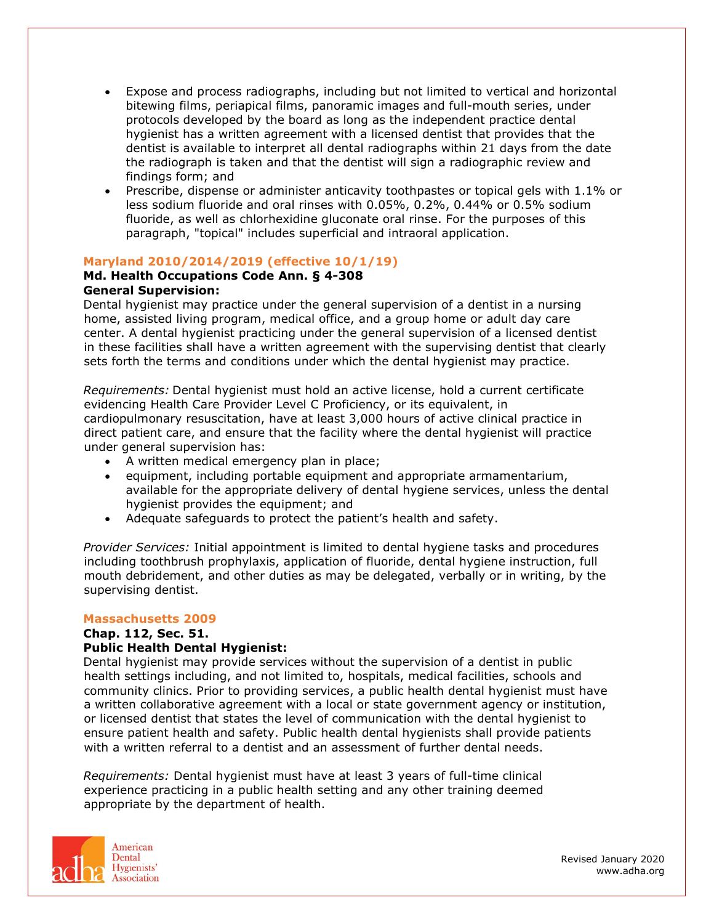- Expose and process radiographs, including but not limited to vertical and horizontal bitewing films, periapical films, panoramic images and full-mouth series, under protocols developed by the board as long as the independent practice dental hygienist has a written agreement with a licensed dentist that provides that the dentist is available to interpret all dental radiographs within 21 days from the date the radiograph is taken and that the dentist will sign a radiographic review and findings form; and
- Prescribe, dispense or administer anticavity toothpastes or topical gels with 1.1% or less sodium fluoride and oral rinses with 0.05%, 0.2%, 0.44% or 0.5% sodium fluoride, as well as chlorhexidine gluconate oral rinse. For the purposes of this paragraph, "topical" includes superficial and intraoral application.

## **Maryland 2010/2014/2019 (effective 10/1/19)**

## **Md. Health Occupations Code Ann. § 4-308 General Supervision:**

Dental hygienist may practice under the general supervision of a dentist in a nursing home, assisted living program, medical office, and a group home or adult day care center. A dental hygienist practicing under the general supervision of a licensed dentist in these facilities shall have a written agreement with the supervising dentist that clearly sets forth the terms and conditions under which the dental hygienist may practice.

*Requirements:* Dental hygienist must hold an active license, hold a current certificate evidencing Health Care Provider Level C Proficiency, or its equivalent, in cardiopulmonary resuscitation, have at least 3,000 hours of active clinical practice in direct patient care, and ensure that the facility where the dental hygienist will practice under general supervision has:

- A written medical emergency plan in place;
- equipment, including portable equipment and appropriate armamentarium, available for the appropriate delivery of dental hygiene services, unless the dental hygienist provides the equipment; and
- Adequate safequards to protect the patient's health and safety.

*Provider Services:* Initial appointment is limited to dental hygiene tasks and procedures including toothbrush prophylaxis, application of fluoride, dental hygiene instruction, full mouth debridement, and other duties as may be delegated, verbally or in writing, by the supervising dentist.

## **Massachusetts 2009**

#### **Chap. 112, Sec. 51. Public Health Dental Hygienist:**

Dental hygienist may provide services without the supervision of a dentist in public health settings including, and not limited to, hospitals, medical facilities, schools and community clinics. Prior to providing services, a public health dental hygienist must have a written collaborative agreement with a local or state government agency or institution, or licensed dentist that states the level of communication with the dental hygienist to ensure patient health and safety. Public health dental hygienists shall provide patients with a written referral to a dentist and an assessment of further dental needs.

*Requirements:* Dental hygienist must have at least 3 years of full-time clinical experience practicing in a public health setting and any other training deemed appropriate by the department of health.

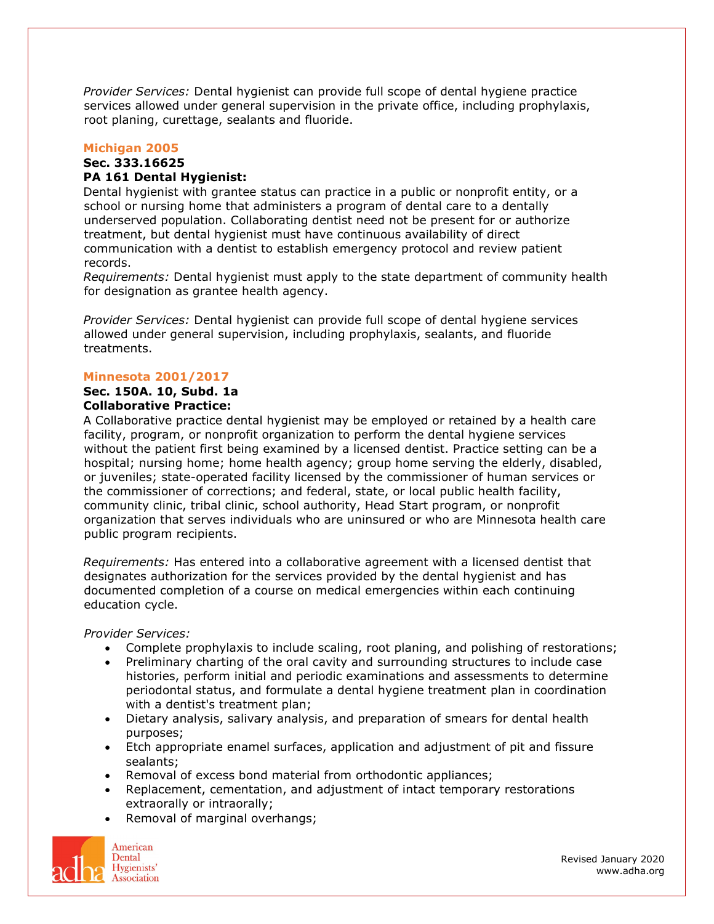*Provider Services:* Dental hygienist can provide full scope of dental hygiene practice services allowed under general supervision in the private office, including prophylaxis, root planing, curettage, sealants and fluoride.

## **Michigan 2005**

#### **Sec. 333.16625 PA 161 Dental Hygienist:**

Dental hygienist with grantee status can practice in a public or nonprofit entity, or a school or nursing home that administers a program of dental care to a dentally underserved population. Collaborating dentist need not be present for or authorize treatment, but dental hygienist must have continuous availability of direct communication with a dentist to establish emergency protocol and review patient records.

*Requirements:* Dental hygienist must apply to the state department of community health for designation as grantee health agency.

*Provider Services:* Dental hygienist can provide full scope of dental hygiene services allowed under general supervision, including prophylaxis, sealants, and fluoride treatments.

## **Minnesota 2001/2017**

## **Sec. 150A. 10, Subd. 1a Collaborative Practice:**

A Collaborative practice dental hygienist may be employed or retained by a health care facility, program, or nonprofit organization to perform the dental hygiene services without the patient first being examined by a licensed dentist. Practice setting can be a hospital; nursing home; home health agency; group home serving the elderly, disabled, or juveniles; state-operated facility licensed by the commissioner of human services or the commissioner of corrections; and federal, state, or local public health facility, community clinic, tribal clinic, school authority, Head Start program, or nonprofit organization that serves individuals who are uninsured or who are Minnesota health care public program recipients.

*Requirements:* Has entered into a collaborative agreement with a licensed dentist that designates authorization for the services provided by the dental hygienist and has documented completion of a course on medical emergencies within each continuing education cycle.

*Provider Services:*

- Complete prophylaxis to include scaling, root planing, and polishing of restorations;
- Preliminary charting of the oral cavity and surrounding structures to include case histories, perform initial and periodic examinations and assessments to determine periodontal status, and formulate a dental hygiene treatment plan in coordination with a dentist's treatment plan;
- Dietary analysis, salivary analysis, and preparation of smears for dental health purposes;
- Etch appropriate enamel surfaces, application and adjustment of pit and fissure sealants;
- Removal of excess bond material from orthodontic appliances;
- Replacement, cementation, and adjustment of intact temporary restorations extraorally or intraorally;
- Removal of marginal overhangs;

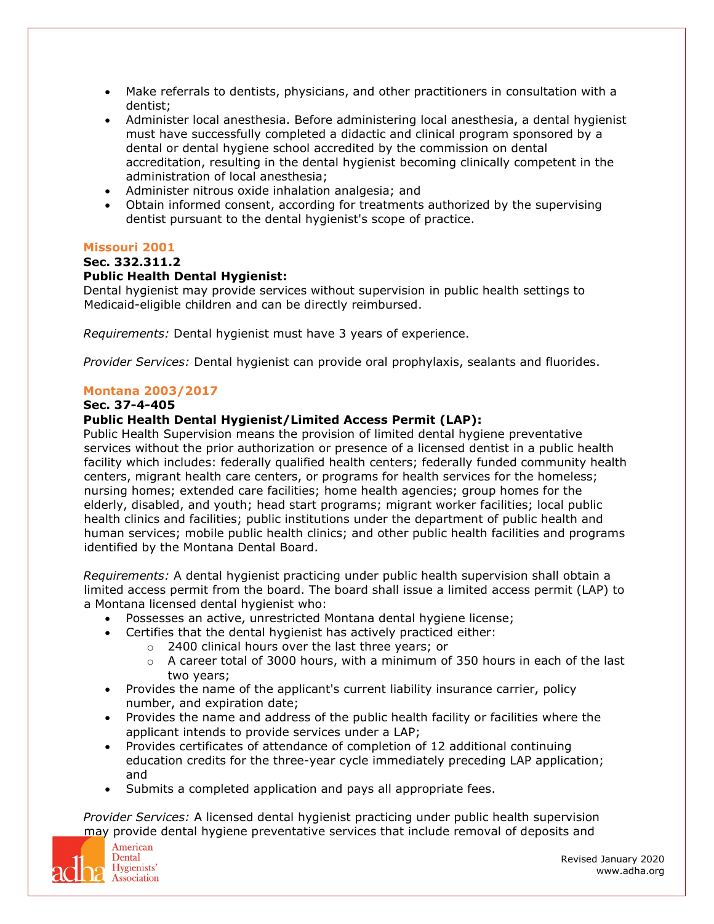- Make referrals to dentists, physicians, and other practitioners in consultation with a dentist;
- Administer local anesthesia. Before administering local anesthesia, a dental hygienist must have successfully completed a didactic and clinical program sponsored by a dental or dental hygiene school accredited by the commission on dental accreditation, resulting in the dental hygienist becoming clinically competent in the administration of local anesthesia;
- Administer nitrous oxide inhalation analgesia; and
- Obtain informed consent, according for treatments authorized by the supervising dentist pursuant to the dental hygienist's scope of practice.

## **Missouri 2001**

## **Sec. 332.311.2**

## **Public Health Dental Hygienist:**

Dental hygienist may provide services without supervision in public health settings to Medicaid-eligible children and can be directly reimbursed.

*Requirements:* Dental hygienist must have 3 years of experience.

*Provider Services:* Dental hygienist can provide oral prophylaxis, sealants and fluorides.

## **Montana 2003/2017**

## **Sec. 37-4-405**

## **Public Health Dental Hygienist/Limited Access Permit (LAP):**

Public Health Supervision means the provision of limited dental hygiene preventative services without the prior authorization or presence of a licensed dentist in a public health facility which includes: federally qualified health centers; federally funded community health centers, migrant health care centers, or programs for health services for the homeless; nursing homes; extended care facilities; home health agencies; group homes for the elderly, disabled, and youth; head start programs; migrant worker facilities; local public health clinics and facilities; public institutions under the department of public health and human services; mobile public health clinics; and other public health facilities and programs identified by the Montana Dental Board.

*Requirements:* A dental hygienist practicing under public health supervision shall obtain a limited access permit from the board. The board shall issue a limited access permit (LAP) to a Montana licensed dental hygienist who:

- Possesses an active, unrestricted Montana dental hygiene license;
- Certifies that the dental hygienist has actively practiced either:
	- o 2400 clinical hours over the last three years; or
		- o A career total of 3000 hours, with a minimum of 350 hours in each of the last two years;
- Provides the name of the applicant's current liability insurance carrier, policy number, and expiration date;
- Provides the name and address of the public health facility or facilities where the applicant intends to provide services under a LAP;
- Provides certificates of attendance of completion of 12 additional continuing education credits for the three-year cycle immediately preceding LAP application; and
- Submits a completed application and pays all appropriate fees.

*Provider Services:* A licensed dental hygienist practicing under public health supervision may provide dental hygiene preventative services that include removal of deposits and

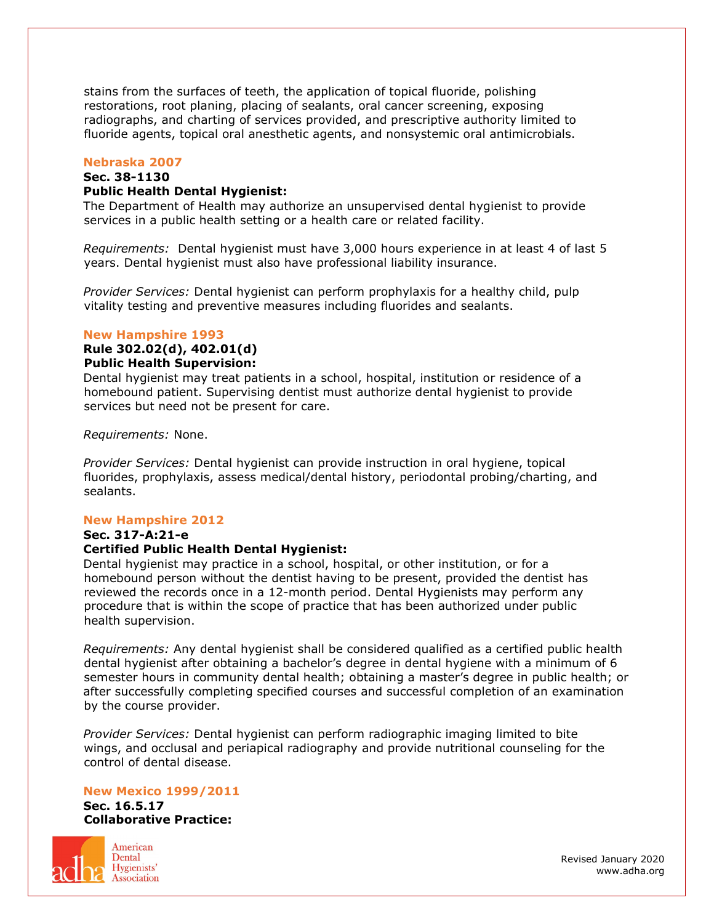stains from the surfaces of teeth, the application of topical fluoride, polishing restorations, root planing, placing of sealants, oral cancer screening, exposing radiographs, and charting of services provided, and prescriptive authority limited to fluoride agents, topical oral anesthetic agents, and nonsystemic oral antimicrobials.

## **Nebraska 2007**

## **Sec. 38-1130**

### **Public Health Dental Hygienist:**

The Department of Health may authorize an unsupervised dental hygienist to provide services in a public health setting or a health care or related facility.

*Requirements:* Dental hygienist must have 3,000 hours experience in at least 4 of last 5 years. Dental hygienist must also have professional liability insurance.

*Provider Services:* Dental hygienist can perform prophylaxis for a healthy child, pulp vitality testing and preventive measures including fluorides and sealants.

#### **New Hampshire 1993**

#### **Rule 302.02(d), 402.01(d) Public Health Supervision:**

Dental hygienist may treat patients in a school, hospital, institution or residence of a homebound patient. Supervising dentist must authorize dental hygienist to provide services but need not be present for care.

#### *Requirements:* None.

*Provider Services:* Dental hygienist can provide instruction in oral hygiene, topical fluorides, prophylaxis, assess medical/dental history, periodontal probing/charting, and sealants.

#### **New Hampshire 2012**

**Sec. 317-A:21-e**

#### **Certified Public Health Dental Hygienist:**

Dental hygienist may practice in a school, hospital, or other institution, or for a homebound person without the dentist having to be present, provided the dentist has reviewed the records once in a 12-month period. Dental Hygienists may perform any procedure that is within the scope of practice that has been authorized under public health supervision.

*Requirements:* Any dental hygienist shall be considered qualified as a certified public health dental hygienist after obtaining a bachelor's degree in dental hygiene with a minimum of 6 semester hours in community dental health; obtaining a master's degree in public health; or after successfully completing specified courses and successful completion of an examination by the course provider.

*Provider Services:* Dental hygienist can perform radiographic imaging limited to bite wings, and occlusal and periapical radiography and provide nutritional counseling for the control of dental disease.

#### **New Mexico 1999/2011**

**Sec. 16.5.17 Collaborative Practice:**



American Dental Hygienists' **Association**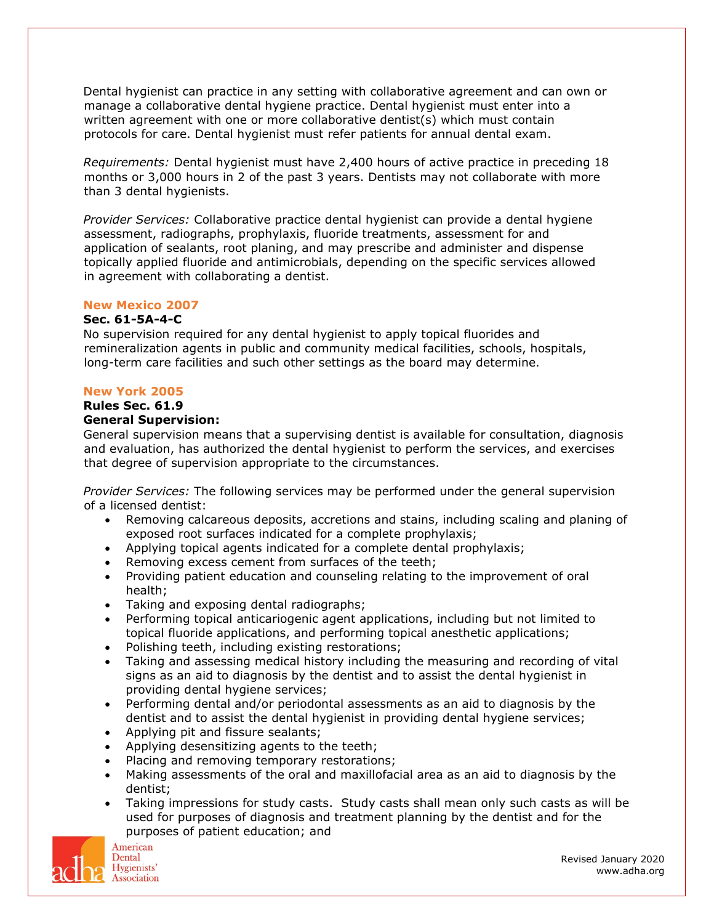Dental hygienist can practice in any setting with collaborative agreement and can own or manage a collaborative dental hygiene practice. Dental hygienist must enter into a written agreement with one or more collaborative dentist(s) which must contain protocols for care. Dental hygienist must refer patients for annual dental exam.

*Requirements:* Dental hygienist must have 2,400 hours of active practice in preceding 18 months or 3,000 hours in 2 of the past 3 years. Dentists may not collaborate with more than 3 dental hygienists.

*Provider Services:* Collaborative practice dental hygienist can provide a dental hygiene assessment, radiographs, prophylaxis, fluoride treatments, assessment for and application of sealants, root planing, and may prescribe and administer and dispense topically applied fluoride and antimicrobials, depending on the specific services allowed in agreement with collaborating a dentist.

## **New Mexico 2007**

#### **Sec. 61-5A-4-C**

No supervision required for any dental hygienist to apply topical fluorides and remineralization agents in public and community medical facilities, schools, hospitals, long-term care facilities and such other settings as the board may determine.

### **New York 2005**

# **Rules Sec. 61.9**

#### **General Supervision:**

General supervision means that a supervising dentist is available for consultation, diagnosis and evaluation, has authorized the dental hygienist to perform the services, and exercises that degree of supervision appropriate to the circumstances.

*Provider Services:* The following services may be performed under the general supervision of a licensed dentist:

- Removing calcareous deposits, accretions and stains, including scaling and planing of exposed root surfaces indicated for a complete prophylaxis;
- Applying topical agents indicated for a complete dental prophylaxis;
- Removing excess cement from surfaces of the teeth;
- Providing patient education and counseling relating to the improvement of oral health;
- Taking and exposing dental radiographs;
- Performing topical anticariogenic agent applications, including but not limited to topical fluoride applications, and performing topical anesthetic applications;
- Polishing teeth, including existing restorations;
- Taking and assessing medical history including the measuring and recording of vital signs as an aid to diagnosis by the dentist and to assist the dental hygienist in providing dental hygiene services;
- Performing dental and/or periodontal assessments as an aid to diagnosis by the dentist and to assist the dental hygienist in providing dental hygiene services;
- Applying pit and fissure sealants;
- Applying desensitizing agents to the teeth;
- Placing and removing temporary restorations;
- Making assessments of the oral and maxillofacial area as an aid to diagnosis by the dentist;
- Taking impressions for study casts. Study casts shall mean only such casts as will be used for purposes of diagnosis and treatment planning by the dentist and for the purposes of patient education; and

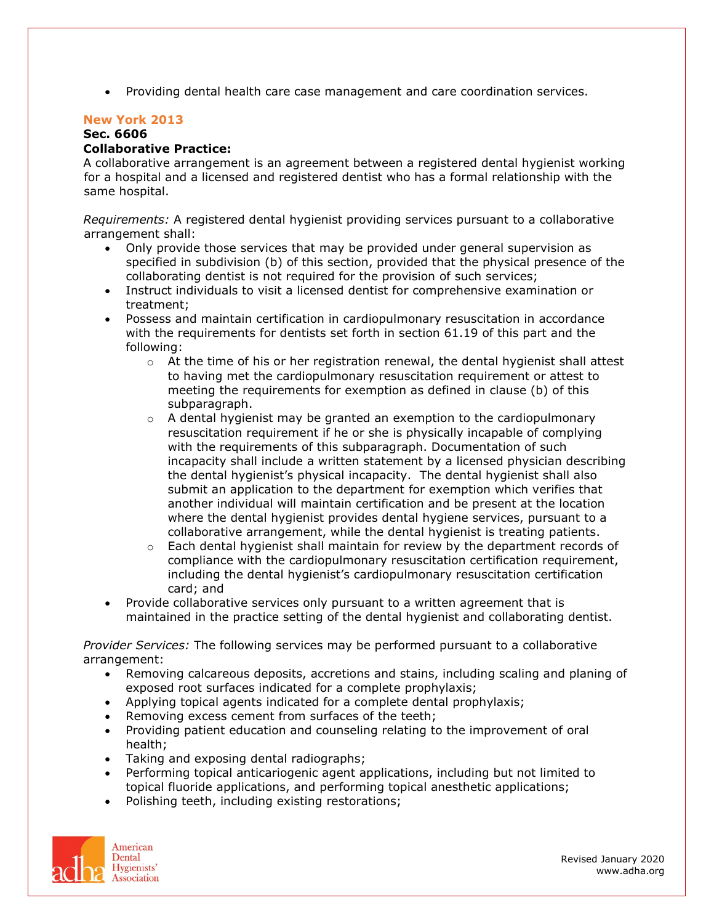• Providing dental health care case management and care coordination services.

## **New York 2013**

# **Sec. 6606**

## **Collaborative Practice:**

A collaborative arrangement is an agreement between a registered dental hygienist working for a hospital and a licensed and registered dentist who has a formal relationship with the same hospital.

*Requirements:* A registered dental hygienist providing services pursuant to a collaborative arrangement shall:

- Only provide those services that may be provided under general supervision as specified in subdivision (b) of this section, provided that the physical presence of the collaborating dentist is not required for the provision of such services;
- Instruct individuals to visit a licensed dentist for comprehensive examination or treatment;
- Possess and maintain certification in cardiopulmonary resuscitation in accordance with the requirements for dentists set forth in section 61.19 of this part and the following:
	- $\circ$  At the time of his or her registration renewal, the dental hygienist shall attest to having met the cardiopulmonary resuscitation requirement or attest to meeting the requirements for exemption as defined in clause (b) of this subparagraph.
	- $\circ$  A dental hygienist may be granted an exemption to the cardiopulmonary resuscitation requirement if he or she is physically incapable of complying with the requirements of this subparagraph. Documentation of such incapacity shall include a written statement by a licensed physician describing the dental hygienist's physical incapacity. The dental hygienist shall also submit an application to the department for exemption which verifies that another individual will maintain certification and be present at the location where the dental hygienist provides dental hygiene services, pursuant to a collaborative arrangement, while the dental hygienist is treating patients.
	- $\circ$  Each dental hygienist shall maintain for review by the department records of compliance with the cardiopulmonary resuscitation certification requirement, including the dental hygienist's cardiopulmonary resuscitation certification card; and
- Provide collaborative services only pursuant to a written agreement that is maintained in the practice setting of the dental hygienist and collaborating dentist.

*Provider Services:* The following services may be performed pursuant to a collaborative arrangement:

- Removing calcareous deposits, accretions and stains, including scaling and planing of exposed root surfaces indicated for a complete prophylaxis;
- Applying topical agents indicated for a complete dental prophylaxis;
- Removing excess cement from surfaces of the teeth;
- Providing patient education and counseling relating to the improvement of oral health;
- Taking and exposing dental radiographs;
- Performing topical anticariogenic agent applications, including but not limited to topical fluoride applications, and performing topical anesthetic applications;
- Polishing teeth, including existing restorations;

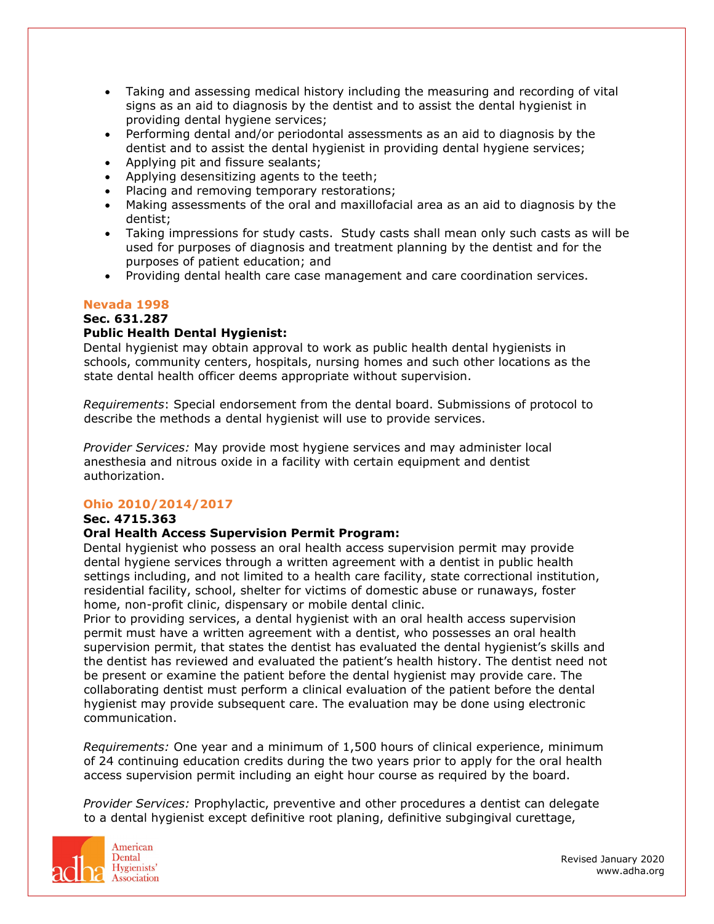- Taking and assessing medical history including the measuring and recording of vital signs as an aid to diagnosis by the dentist and to assist the dental hygienist in providing dental hygiene services;
- Performing dental and/or periodontal assessments as an aid to diagnosis by the dentist and to assist the dental hygienist in providing dental hygiene services;
- Applying pit and fissure sealants;
- Applying desensitizing agents to the teeth;
- Placing and removing temporary restorations;
- Making assessments of the oral and maxillofacial area as an aid to diagnosis by the dentist;
- Taking impressions for study casts. Study casts shall mean only such casts as will be used for purposes of diagnosis and treatment planning by the dentist and for the purposes of patient education; and
- Providing dental health care case management and care coordination services.

# **Nevada 1998**

### **Sec. 631.287**

## **Public Health Dental Hygienist:**

Dental hygienist may obtain approval to work as public health dental hygienists in schools, community centers, hospitals, nursing homes and such other locations as the state dental health officer deems appropriate without supervision.

*Requirements*: Special endorsement from the dental board. Submissions of protocol to describe the methods a dental hygienist will use to provide services.

*Provider Services:* May provide most hygiene services and may administer local anesthesia and nitrous oxide in a facility with certain equipment and dentist authorization.

## **Ohio 2010/2014/2017**

## **Sec. 4715.363**

## **Oral Health Access Supervision Permit Program:**

Dental hygienist who possess an oral health access supervision permit may provide dental hygiene services through a written agreement with a dentist in public health settings including, and not limited to a health care facility, state correctional institution, residential facility, school, shelter for victims of domestic abuse or runaways, foster home, non-profit clinic, dispensary or mobile dental clinic.

Prior to providing services, a dental hygienist with an oral health access supervision permit must have a written agreement with a dentist, who possesses an oral health supervision permit, that states the dentist has evaluated the dental hygienist's skills and the dentist has reviewed and evaluated the patient's health history. The dentist need not be present or examine the patient before the dental hygienist may provide care. The collaborating dentist must perform a clinical evaluation of the patient before the dental hygienist may provide subsequent care. The evaluation may be done using electronic communication.

*Requirements:* One year and a minimum of 1,500 hours of clinical experience, minimum of 24 continuing education credits during the two years prior to apply for the oral health access supervision permit including an eight hour course as required by the board.

*Provider Services:* Prophylactic, preventive and other procedures a dentist can delegate to a dental hygienist except definitive root planing, definitive subgingival curettage,

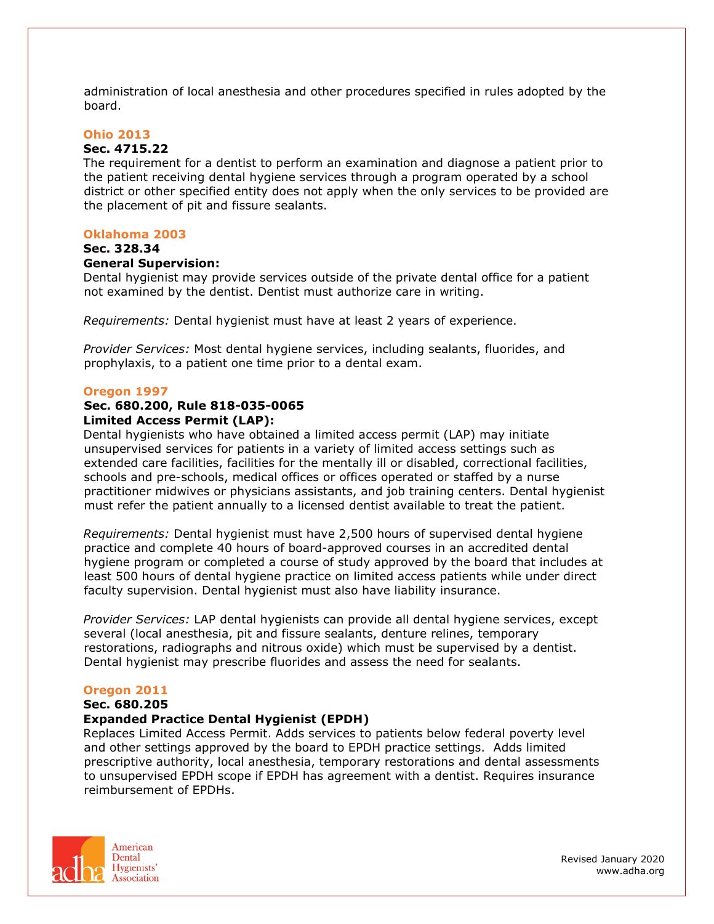administration of local anesthesia and other procedures specified in rules adopted by the board.

#### **Ohio 2013**

#### **Sec. 4715.22**

The requirement for a dentist to perform an examination and diagnose a patient prior to the patient receiving dental hygiene services through a program operated by a school district or other specified entity does not apply when the only services to be provided are the placement of pit and fissure sealants.

#### **Oklahoma 2003**

## **Sec. 328.34**

#### **General Supervision:**

Dental hygienist may provide services outside of the private dental office for a patient not examined by the dentist. Dentist must authorize care in writing.

*Requirements:* Dental hygienist must have at least 2 years of experience.

*Provider Services:* Most dental hygiene services, including sealants, fluorides, and prophylaxis, to a patient one time prior to a dental exam.

#### **Oregon 1997**

# **Sec. 680.200, Rule 818-035-0065**

**Limited Access Permit (LAP):**

Dental hygienists who have obtained a limited access permit (LAP) may initiate unsupervised services for patients in a variety of limited access settings such as extended care facilities, facilities for the mentally ill or disabled, correctional facilities, schools and pre-schools, medical offices or offices operated or staffed by a nurse practitioner midwives or physicians assistants, and job training centers. Dental hygienist must refer the patient annually to a licensed dentist available to treat the patient.

*Requirements:* Dental hygienist must have 2,500 hours of supervised dental hygiene practice and complete 40 hours of board-approved courses in an accredited dental hygiene program or completed a course of study approved by the board that includes at least 500 hours of dental hygiene practice on limited access patients while under direct faculty supervision. Dental hygienist must also have liability insurance.

*Provider Services:* LAP dental hygienists can provide all dental hygiene services, except several (local anesthesia, pit and fissure sealants, denture relines, temporary restorations, radiographs and nitrous oxide) which must be supervised by a dentist. Dental hygienist may prescribe fluorides and assess the need for sealants.

#### **Oregon 2011**

#### **Sec. 680.205**

#### **Expanded Practice Dental Hygienist (EPDH)**

Replaces Limited Access Permit. Adds services to patients below federal poverty level and other settings approved by the board to EPDH practice settings. Adds limited prescriptive authority, local anesthesia, temporary restorations and dental assessments to unsupervised EPDH scope if EPDH has agreement with a dentist. Requires insurance reimbursement of EPDHs.

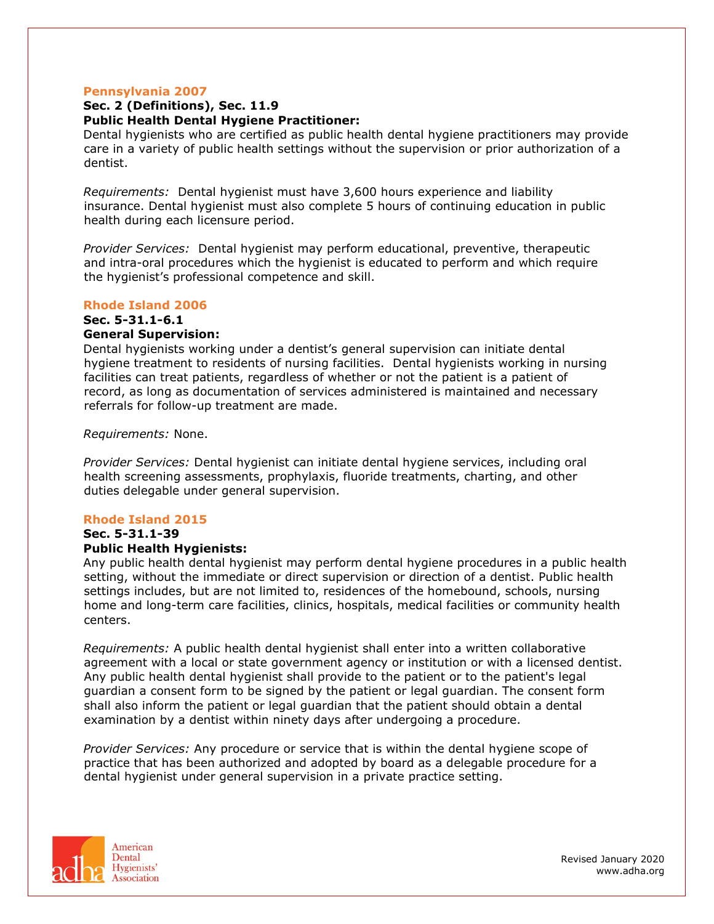#### **Pennsylvania 2007**

### **Sec. 2 (Definitions), Sec. 11.9 Public Health Dental Hygiene Practitioner:**

Dental hygienists who are certified as public health dental hygiene practitioners may provide care in a variety of public health settings without the supervision or prior authorization of a dentist.

*Requirements:* Dental hygienist must have 3,600 hours experience and liability insurance. Dental hygienist must also complete 5 hours of continuing education in public health during each licensure period.

*Provider Services:* Dental hygienist may perform educational, preventive, therapeutic and intra-oral procedures which the hygienist is educated to perform and which require the hygienist's professional competence and skill.

#### **Rhode Island 2006**

# **Sec. 5-31.1-6.1**

## **General Supervision:**

Dental hygienists working under a dentist's general supervision can initiate dental hygiene treatment to residents of nursing facilities. Dental hygienists working in nursing facilities can treat patients, regardless of whether or not the patient is a patient of record, as long as documentation of services administered is maintained and necessary referrals for follow-up treatment are made.

#### *Requirements:* None.

*Provider Services:* Dental hygienist can initiate dental hygiene services, including oral health screening assessments, prophylaxis, fluoride treatments, charting, and other duties delegable under general supervision.

#### **Rhode Island 2015**

## **Sec. 5-31.1-39**

## **Public Health Hygienists:**

Any public health dental hygienist may perform dental hygiene procedures in a public health setting, without the immediate or direct supervision or direction of a dentist. Public health settings includes, but are not limited to, residences of the homebound, schools, nursing home and long-term care facilities, clinics, hospitals, medical facilities or community health centers.

*Requirements:* A public health dental hygienist shall enter into a written collaborative agreement with a local or state government agency or institution or with a licensed dentist. Any public health dental hygienist shall provide to the patient or to the patient's legal guardian a consent form to be signed by the patient or legal guardian. The consent form shall also inform the patient or legal guardian that the patient should obtain a dental examination by a dentist within ninety days after undergoing a procedure.

*Provider Services:* Any procedure or service that is within the dental hygiene scope of practice that has been authorized and adopted by board as a delegable procedure for a dental hygienist under general supervision in a private practice setting.

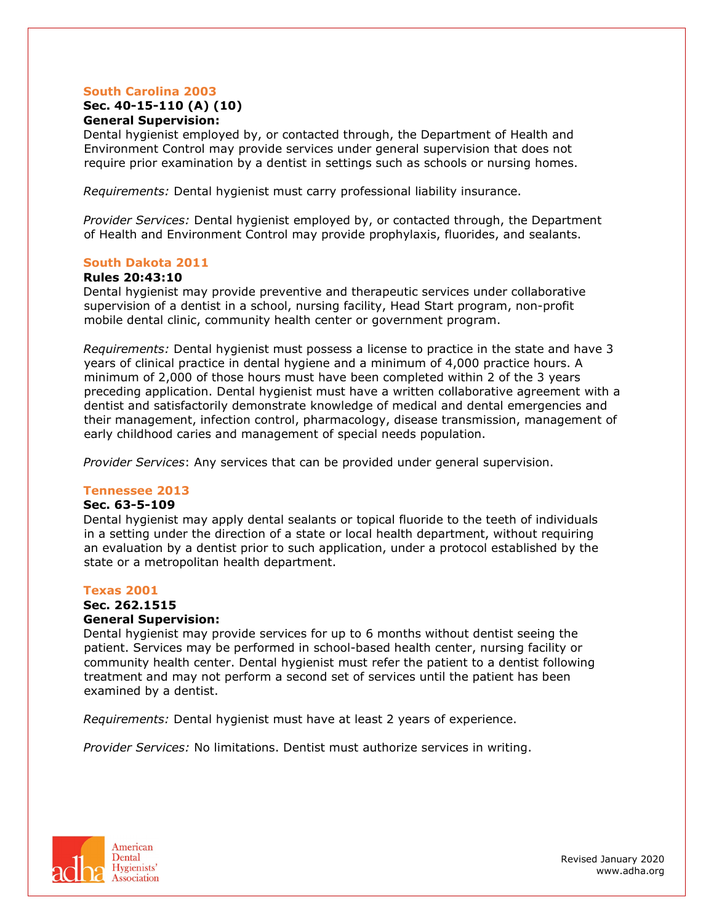## **South Carolina 2003**

#### **Sec. 40-15-110 (A) (10) General Supervision:**

Dental hygienist employed by, or contacted through, the Department of Health and Environment Control may provide services under general supervision that does not require prior examination by a dentist in settings such as schools or nursing homes.

*Requirements:* Dental hygienist must carry professional liability insurance.

*Provider Services:* Dental hygienist employed by, or contacted through, the Department of Health and Environment Control may provide prophylaxis, fluorides, and sealants.

## **South Dakota 2011**

### **Rules 20:43:10**

Dental hygienist may provide preventive and therapeutic services under collaborative supervision of a dentist in a school, nursing facility, Head Start program, non-profit mobile dental clinic, community health center or government program.

*Requirements:* Dental hygienist must possess a license to practice in the state and have 3 years of clinical practice in dental hygiene and a minimum of 4,000 practice hours. A minimum of 2,000 of those hours must have been completed within 2 of the 3 years preceding application. Dental hygienist must have a written collaborative agreement with a dentist and satisfactorily demonstrate knowledge of medical and dental emergencies and their management, infection control, pharmacology, disease transmission, management of early childhood caries and management of special needs population.

*Provider Services*: Any services that can be provided under general supervision.

#### **Tennessee 2013**

#### **Sec. 63-5-109**

Dental hygienist may apply dental sealants or topical fluoride to the teeth of individuals in a setting under the direction of a state or local health department, without requiring an evaluation by a dentist prior to such application, under a protocol established by the state or a metropolitan health department.

## **Texas 2001**

## **Sec. 262.1515**

## **General Supervision:**

Dental hygienist may provide services for up to 6 months without dentist seeing the patient. Services may be performed in school-based health center, nursing facility or community health center. Dental hygienist must refer the patient to a dentist following treatment and may not perform a second set of services until the patient has been examined by a dentist.

*Requirements:* Dental hygienist must have at least 2 years of experience.

*Provider Services:* No limitations. Dentist must authorize services in writing.

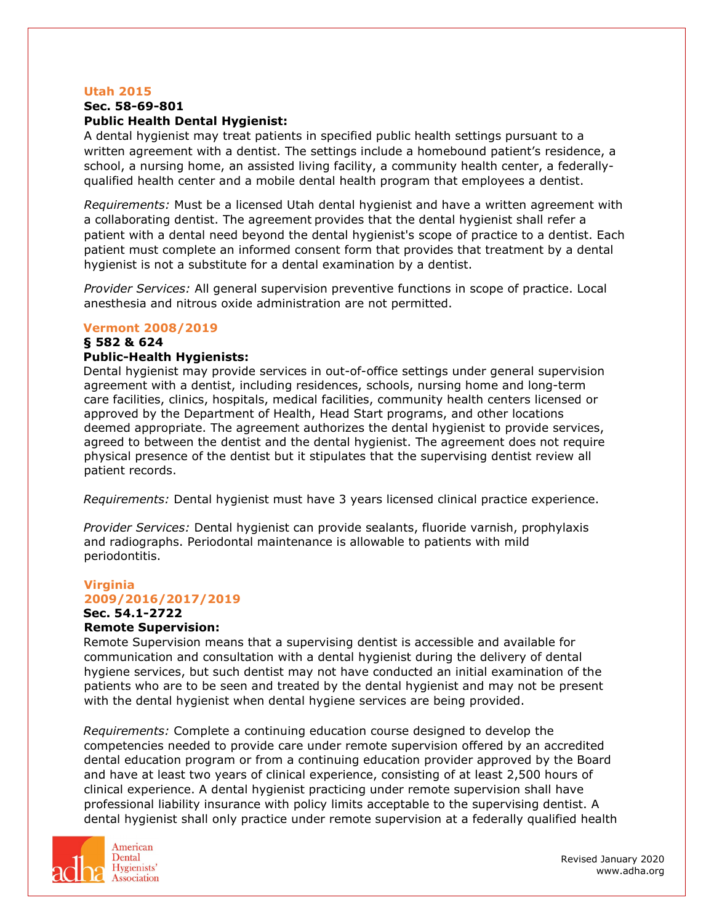#### **Utah 2015**

#### **Sec. 58-69-801**

## **Public Health Dental Hygienist:**

A dental hygienist may treat patients in specified public health settings pursuant to a written agreement with a dentist. The settings include a homebound patient's residence, a school, a nursing home, an assisted living facility, a community health center, a federallyqualified health center and a mobile dental health program that employees a dentist.

*Requirements:* Must be a licensed Utah dental hygienist and have a written agreement with a collaborating dentist. The agreement provides that the dental hygienist shall refer a patient with a dental need beyond the dental hygienist's scope of practice to a dentist. Each patient must complete an informed consent form that provides that treatment by a dental hygienist is not a substitute for a dental examination by a dentist.

*Provider Services:* All general supervision preventive functions in scope of practice. Local anesthesia and nitrous oxide administration are not permitted.

### **Vermont 2008/2019**

# **§ 582 & 624**

## **Public-Health Hygienists:**

Dental hygienist may provide services in out-of-office settings under general supervision agreement with a dentist, including residences, schools, nursing home and long-term care facilities, clinics, hospitals, medical facilities, community health centers licensed or approved by the Department of Health, Head Start programs, and other locations deemed appropriate. The agreement authorizes the dental hygienist to provide services, agreed to between the dentist and the dental hygienist. The agreement does not require physical presence of the dentist but it stipulates that the supervising dentist review all patient records.

*Requirements:* Dental hygienist must have 3 years licensed clinical practice experience.

*Provider Services:* Dental hygienist can provide sealants, fluoride varnish, prophylaxis and radiographs. Periodontal maintenance is allowable to patients with mild periodontitis.

# **Virginia 2009/2016/2017/2019 Sec. 54.1-2722**

## **Remote Supervision:**

Remote Supervision means that a supervising dentist is accessible and available for communication and consultation with a dental hygienist during the delivery of dental hygiene services, but such dentist may not have conducted an initial examination of the patients who are to be seen and treated by the dental hygienist and may not be present with the dental hygienist when dental hygiene services are being provided.

*Requirements:* Complete a continuing education course designed to develop the competencies needed to provide care under remote supervision offered by an accredited dental education program or from a continuing education provider approved by the Board and have at least two years of clinical experience, consisting of at least 2,500 hours of clinical experience. A dental hygienist practicing under remote supervision shall have professional liability insurance with policy limits acceptable to the supervising dentist. A dental hygienist shall only practice under remote supervision at a federally qualified health

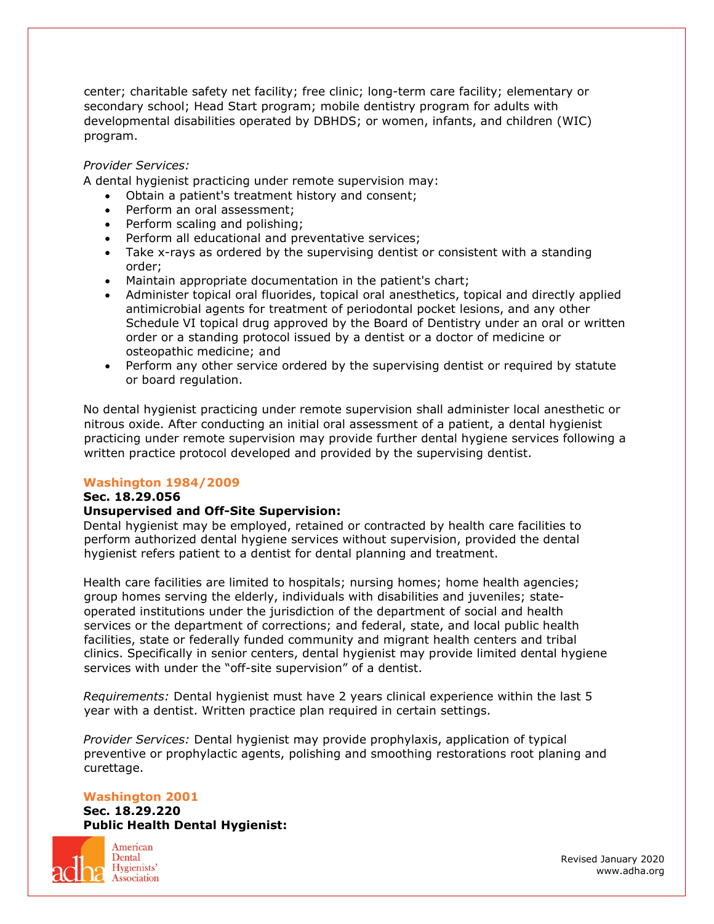center; charitable safety net facility; free clinic; long-term care facility; elementary or secondary school; Head Start program; mobile dentistry program for adults with developmental disabilities operated by DBHDS; or women, infants, and children (WIC) program.

## *Provider Services:*

A dental hygienist practicing under remote supervision may:

- Obtain a patient's treatment history and consent;
- Perform an oral assessment;
- Perform scaling and polishing;
- Perform all educational and preventative services;
- Take x-rays as ordered by the supervising dentist or consistent with a standing order;
- Maintain appropriate documentation in the patient's chart;
- Administer topical oral fluorides, topical oral anesthetics, topical and directly applied antimicrobial agents for treatment of periodontal pocket lesions, and any other Schedule VI topical drug approved by the Board of Dentistry under an oral or written order or a standing protocol issued by a dentist or a doctor of medicine or osteopathic medicine; and
- Perform any other service ordered by the supervising dentist or required by statute or board regulation.

No dental hygienist practicing under remote supervision shall administer local anesthetic or nitrous oxide. After conducting an initial oral assessment of a patient, a dental hygienist practicing under remote supervision may provide further dental hygiene services following a written practice protocol developed and provided by the supervising dentist.

## **Washington 1984/2009**

**Sec. 18.29.056**

## **Unsupervised and Off-Site Supervision:**

Dental hygienist may be employed, retained or contracted by health care facilities to perform authorized dental hygiene services without supervision, provided the dental hygienist refers patient to a dentist for dental planning and treatment.

Health care facilities are limited to hospitals; nursing homes; home health agencies; group homes serving the elderly, individuals with disabilities and juveniles; stateoperated institutions under the jurisdiction of the department of social and health services or the department of corrections; and federal, state, and local public health facilities, state or federally funded community and migrant health centers and tribal clinics. Specifically in senior centers, dental hygienist may provide limited dental hygiene services with under the "off-site supervision" of a dentist.

*Requirements:* Dental hygienist must have 2 years clinical experience within the last 5 year with a dentist. Written practice plan required in certain settings.

*Provider Services:* Dental hygienist may provide prophylaxis, application of typical preventive or prophylactic agents, polishing and smoothing restorations root planing and curettage.

#### **Washington 2001**

**Sec. 18.29.220 Public Health Dental Hygienist:**



American Dental Hygienists' **Association**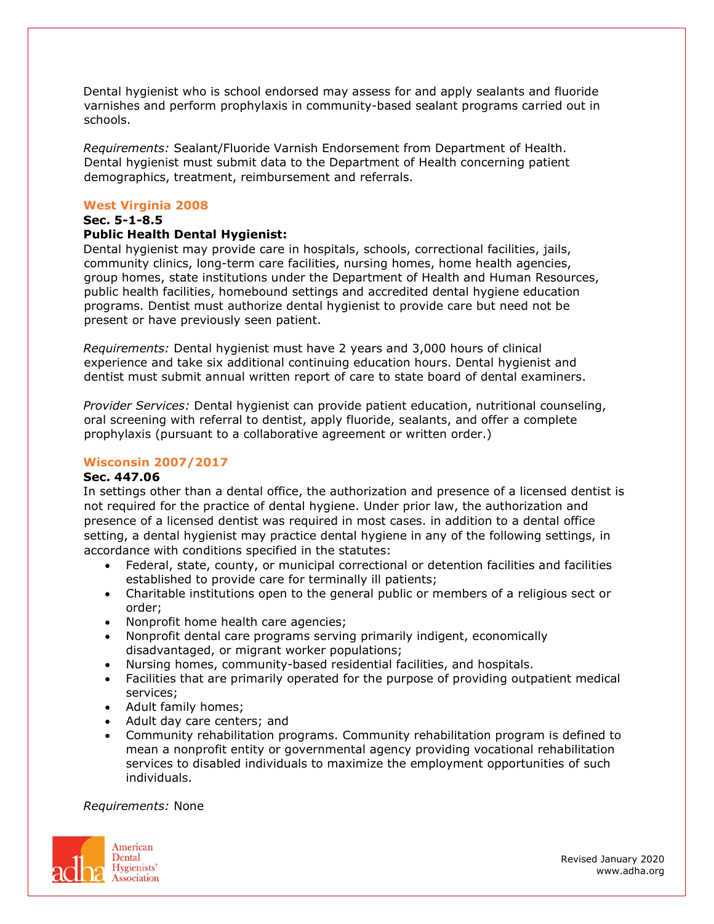Dental hygienist who is school endorsed may assess for and apply sealants and fluoride varnishes and perform prophylaxis in community-based sealant programs carried out in schools.

*Requirements:* Sealant/Fluoride Varnish Endorsement from Department of Health. Dental hygienist must submit data to the Department of Health concerning patient demographics, treatment, reimbursement and referrals.

### **West Virginia 2008**

# **Sec. 5-1-8.5**

## **Public Health Dental Hygienist:**

Dental hygienist may provide care in hospitals, schools, correctional facilities, jails, community clinics, long-term care facilities, nursing homes, home health agencies, group homes, state institutions under the Department of Health and Human Resources, public health facilities, homebound settings and accredited dental hygiene education programs. Dentist must authorize dental hygienist to provide care but need not be present or have previously seen patient.

*Requirements:* Dental hygienist must have 2 years and 3,000 hours of clinical experience and take six additional continuing education hours. Dental hygienist and dentist must submit annual written report of care to state board of dental examiners.

*Provider Services:* Dental hygienist can provide patient education, nutritional counseling, oral screening with referral to dentist, apply fluoride, sealants, and offer a complete prophylaxis (pursuant to a collaborative agreement or written order.)

## **Wisconsin 2007/2017**

#### **Sec. 447.06**

In settings other than a dental office, the authorization and presence of a licensed dentist is not required for the practice of dental hygiene. Under prior law, the authorization and presence of a licensed dentist was required in most cases. in addition to a dental office setting, a dental hygienist may practice dental hygiene in any of the following settings, in accordance with conditions specified in the statutes:

- Federal, state, county, or municipal correctional or detention facilities and facilities established to provide care for terminally ill patients;
- Charitable institutions open to the general public or members of a religious sect or order;
- Nonprofit home health care agencies;
- Nonprofit dental care programs serving primarily indigent, economically disadvantaged, or migrant worker populations;
- Nursing homes, community-based residential facilities, and hospitals.
- Facilities that are primarily operated for the purpose of providing outpatient medical services;
- Adult family homes;
- Adult day care centers; and
- Community rehabilitation programs. Community rehabilitation program is defined to mean a nonprofit entity or governmental agency providing vocational rehabilitation services to disabled individuals to maximize the employment opportunities of such individuals.

#### *Requirements:* None